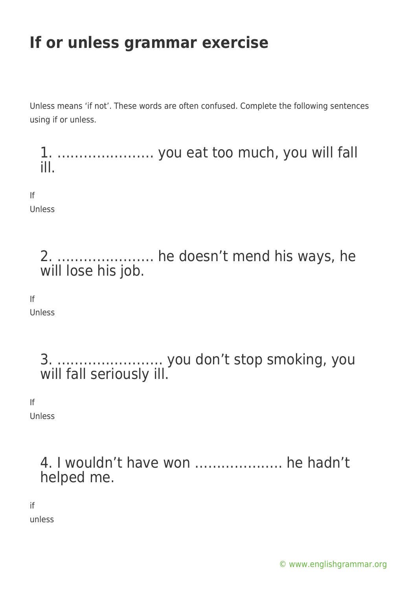Unless means 'if not'. These words are often confused. Complete the following sentences using if or unless.

1. …………………. you eat too much, you will fall ill.

If Unless

> 2. …………………. he doesn't mend his ways, he will lose his job.

If

Unless

3. …………………… you don't stop smoking, you will fall seriously ill.

If

Unless

4. I wouldn't have won ……………….. he hadn't helped me.

if

unless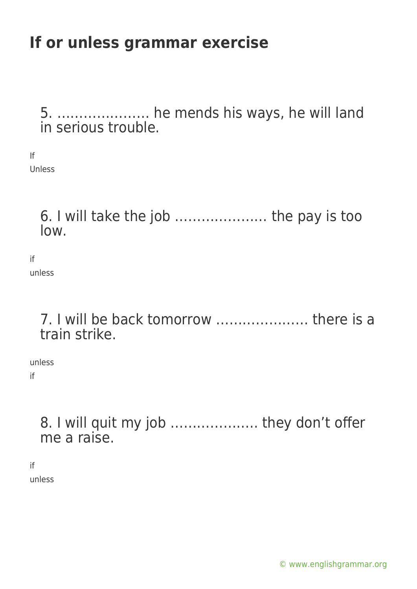5. ………………… he mends his ways, he will land in serious trouble.

If Unless

> 6. I will take the job ………………… the pay is too low.

if unless

> 7. I will be back tomorrow ………………… there is a train strike.

unless if

> 8. I will quit my job ……………….. they don't offer me a raise.

if unless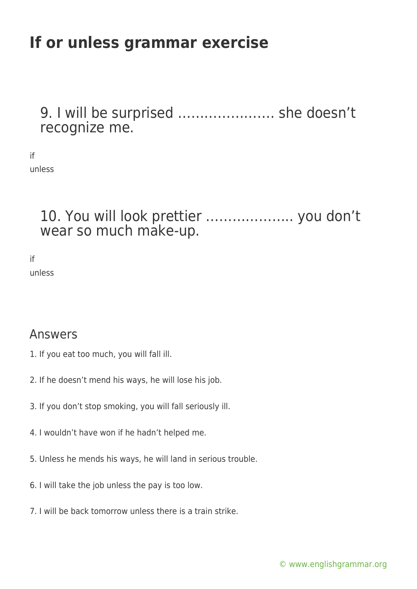9. I will be surprised …………………. she doesn't recognize me.

if unless

> 10. You will look prettier ……………….. you don't wear so much make-up.

if unless

#### Answers

- 1. If you eat too much, you will fall ill.
- 2. If he doesn't mend his ways, he will lose his job.
- 3. If you don't stop smoking, you will fall seriously ill.
- 4. I wouldn't have won if he hadn't helped me.
- 5. Unless he mends his ways, he will land in serious trouble.
- 6. I will take the job unless the pay is too low.
- 7. I will be back tomorrow unless there is a train strike.